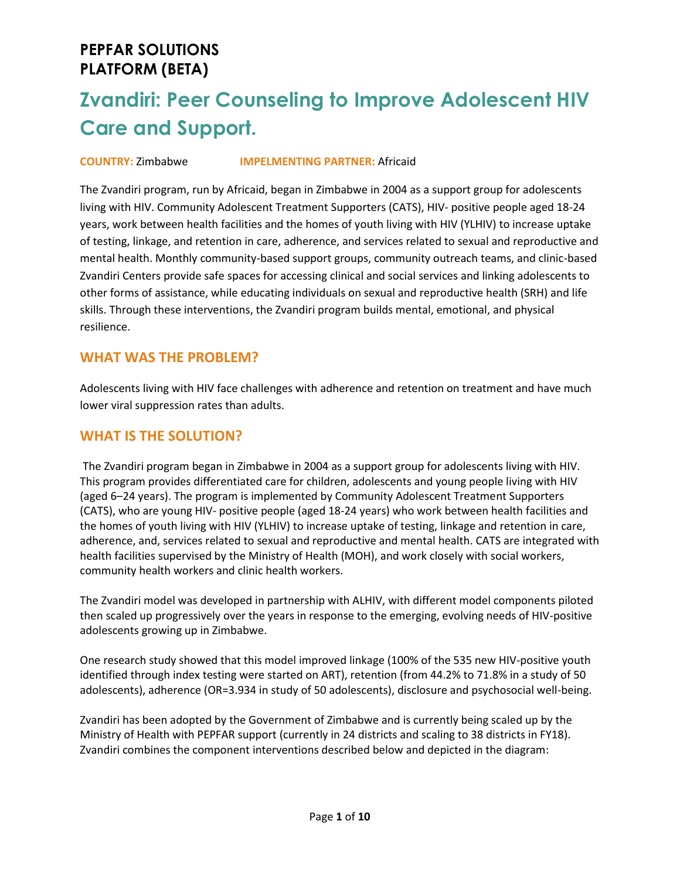# **Zvandiri: Peer Counseling to Improve Adolescent HIV Care and Support.**

#### **COUNTRY:** Zimbabwe **IMPELMENTING PARTNER:** Africaid

The Zvandiri program, run by Africaid, began in Zimbabwe in 2004 as a support group for adolescents living with HIV. Community Adolescent Treatment Supporters (CATS), HIV- positive people aged 18-24 years, work between health facilities and the homes of youth living with HIV (YLHIV) to increase uptake of testing, linkage, and retention in care, adherence, and services related to sexual and reproductive and mental health. Monthly community-based support groups, community outreach teams, and clinic-based Zvandiri Centers provide safe spaces for accessing clinical and social services and linking adolescents to other forms of assistance, while educating individuals on sexual and reproductive health (SRH) and life skills. Through these interventions, the Zvandiri program builds mental, emotional, and physical resilience.

### **WHAT WAS THE PROBLEM?**

Adolescents living with HIV face challenges with adherence and retention on treatment and have much lower viral suppression rates than adults.

### **WHAT IS THE SOLUTION?**

The Zvandiri program began in Zimbabwe in 2004 as a support group for adolescents living with HIV. This program provides differentiated care for children, adolescents and young people living with HIV (aged 6–24 years). The program is implemented by Community Adolescent Treatment Supporters (CATS), who are young HIV- positive people (aged 18-24 years) who work between health facilities and the homes of youth living with HIV (YLHIV) to increase uptake of testing, linkage and retention in care, adherence, and, services related to sexual and reproductive and mental health. CATS are integrated with health facilities supervised by the Ministry of Health (MOH), and work closely with social workers, community health workers and clinic health workers.

The Zvandiri model was developed in partnership with ALHIV, with different model components piloted then scaled up progressively over the years in response to the emerging, evolving needs of HIV-positive adolescents growing up in Zimbabwe.

One research study showed that this model improved linkage (100% of the 535 new HIV-positive youth identified through index testing were started on ART), retention (from 44.2% to 71.8% in a study of 50 adolescents), adherence (OR=3.934 in study of 50 adolescents), disclosure and psychosocial well-being.

Zvandiri has been adopted by the Government of Zimbabwe and is currently being scaled up by the Ministry of Health with PEPFAR support (currently in 24 districts and scaling to 38 districts in FY18). Zvandiri combines the component interventions described below and depicted in the diagram: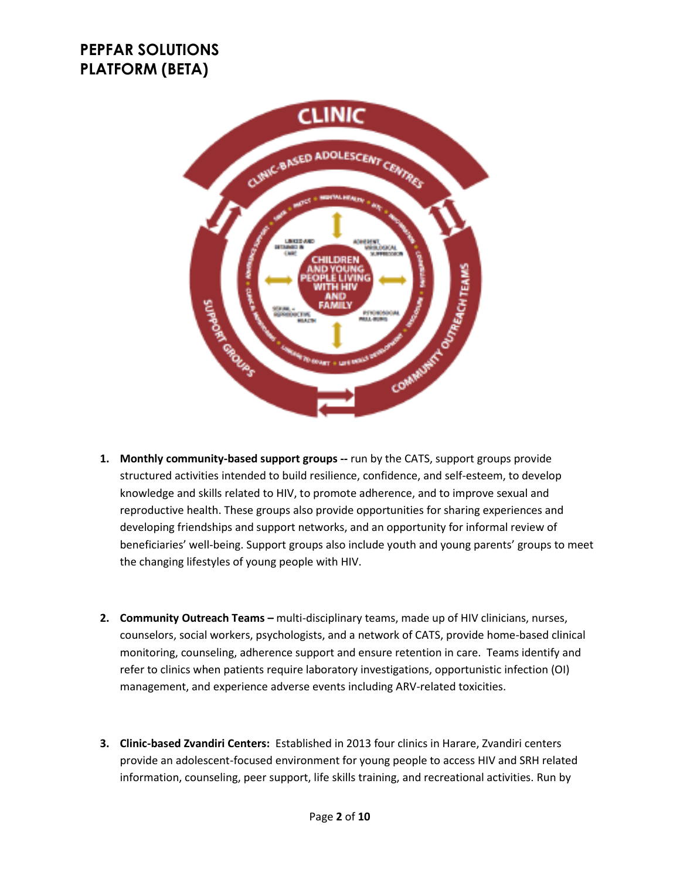

- **1. Monthly community-based support groups --** run by the CATS, support groups provide structured activities intended to build resilience, confidence, and self-esteem, to develop knowledge and skills related to HIV, to promote adherence, and to improve sexual and reproductive health. These groups also provide opportunities for sharing experiences and developing friendships and support networks, and an opportunity for informal review of beneficiaries' well-being. Support groups also include youth and young parents' groups to meet the changing lifestyles of young people with HIV.
- **2. Community Outreach Teams –** multi-disciplinary teams, made up of HIV clinicians, nurses, counselors, social workers, psychologists, and a network of CATS, provide home-based clinical monitoring, counseling, adherence support and ensure retention in care. Teams identify and refer to clinics when patients require laboratory investigations, opportunistic infection (OI) management, and experience adverse events including ARV-related toxicities.
- **3. Clinic-based Zvandiri Centers:** Established in 2013 four clinics in Harare, Zvandiri centers provide an adolescent-focused environment for young people to access HIV and SRH related information, counseling, peer support, life skills training, and recreational activities. Run by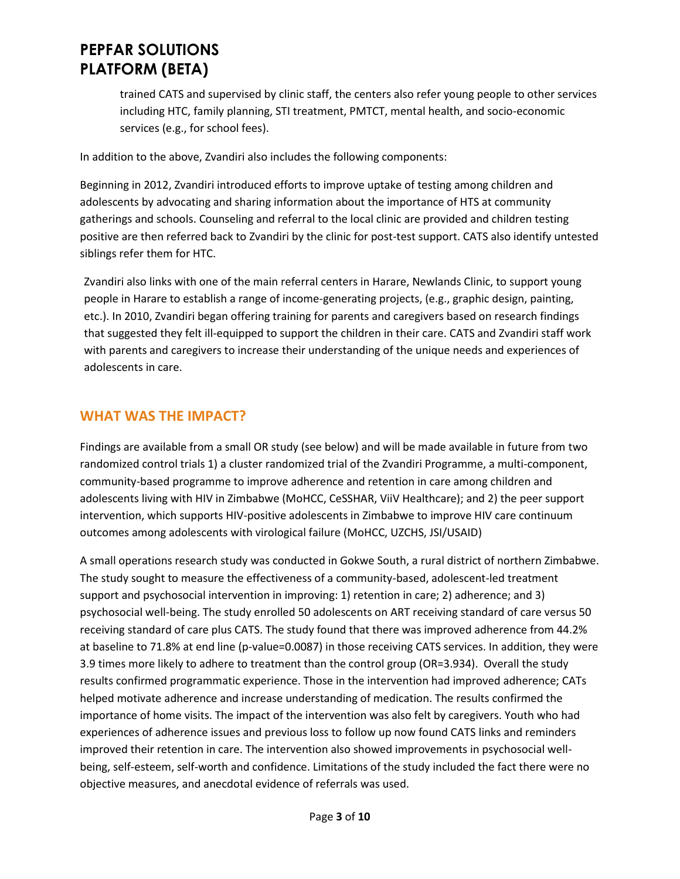trained CATS and supervised by clinic staff, the centers also refer young people to other services including HTC, family planning, STI treatment, PMTCT, mental health, and socio-economic services (e.g., for school fees).

In addition to the above, Zvandiri also includes the following components:

Beginning in 2012, Zvandiri introduced efforts to improve uptake of testing among children and adolescents by advocating and sharing information about the importance of HTS at community gatherings and schools. Counseling and referral to the local clinic are provided and children testing positive are then referred back to Zvandiri by the clinic for post-test support. CATS also identify untested siblings refer them for HTC.

Zvandiri also links with one of the main referral centers in Harare, Newlands Clinic, to support young people in Harare to establish a range of income-generating projects, (e.g., graphic design, painting, etc.). In 2010, Zvandiri began offering training for parents and caregivers based on research findings that suggested they felt ill-equipped to support the children in their care. CATS and Zvandiri staff work with parents and caregivers to increase their understanding of the unique needs and experiences of adolescents in care.

### **WHAT WAS THE IMPACT?**

Findings are available from a small OR study (see below) and will be made available in future from two randomized control trials 1) a cluster randomized trial of the Zvandiri Programme, a multi-component, community-based programme to improve adherence and retention in care among children and adolescents living with HIV in Zimbabwe (MoHCC, CeSSHAR, ViiV Healthcare); and 2) the peer support intervention, which supports HIV-positive adolescents in Zimbabwe to improve HIV care continuum outcomes among adolescents with virological failure (MoHCC, UZCHS, JSI/USAID)

A small operations research study was conducted in Gokwe South, a rural district of northern Zimbabwe. The study sought to measure the effectiveness of a community-based, adolescent-led treatment support and psychosocial intervention in improving: 1) retention in care; 2) adherence; and 3) psychosocial well-being. The study enrolled 50 adolescents on ART receiving standard of care versus 50 receiving standard of care plus CATS. The study found that there was improved adherence from 44.2% at baseline to 71.8% at end line (p-value=0.0087) in those receiving CATS services. In addition, they were 3.9 times more likely to adhere to treatment than the control group (OR=3.934). Overall the study results confirmed programmatic experience. Those in the intervention had improved adherence; CATs helped motivate adherence and increase understanding of medication. The results confirmed the importance of home visits. The impact of the intervention was also felt by caregivers. Youth who had experiences of adherence issues and previous loss to follow up now found CATS links and reminders improved their retention in care. The intervention also showed improvements in psychosocial wellbeing, self-esteem, self-worth and confidence. Limitations of the study included the fact there were no objective measures, and anecdotal evidence of referrals was used.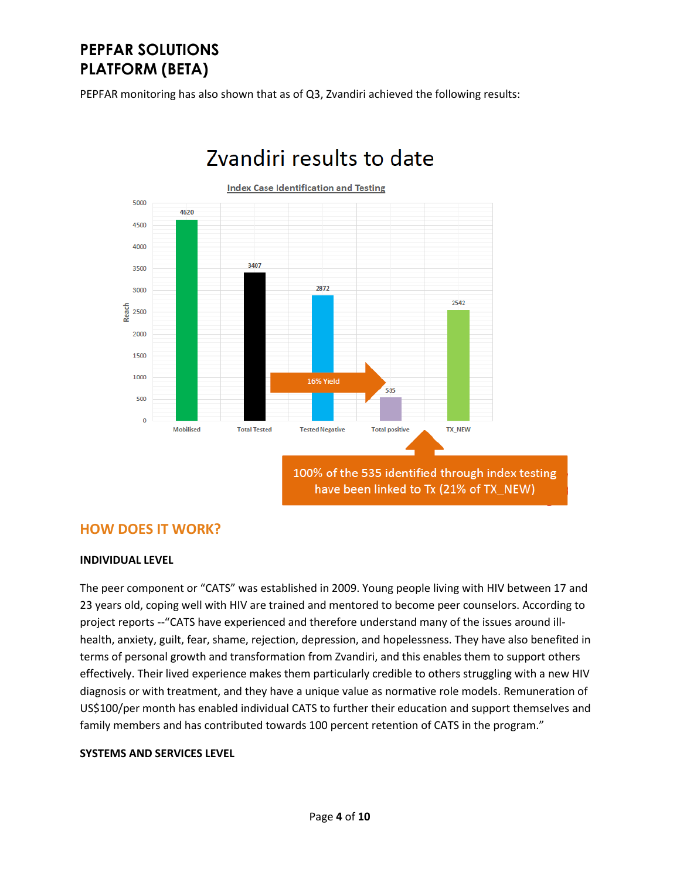PEPFAR monitoring has also shown that as of Q3, Zvandiri achieved the following results:



# Zvandiri results to date

### **HOW DOES IT WORK?**

#### **INDIVIDUAL LEVEL**

The peer component or "CATS" was established in 2009. Young people living with HIV between 17 and 23 years old, coping well with HIV are trained and mentored to become peer counselors. According to project reports --"CATS have experienced and therefore understand many of the issues around illhealth, anxiety, guilt, fear, shame, rejection, depression, and hopelessness. They have also benefited in terms of personal growth and transformation from Zvandiri, and this enables them to support others effectively. Their lived experience makes them particularly credible to others struggling with a new HIV diagnosis or with treatment, and they have a unique value as normative role models. Remuneration of US\$100/per month has enabled individual CATS to further their education and support themselves and family members and has contributed towards 100 percent retention of CATS in the program."

#### **SYSTEMS AND SERVICES LEVEL**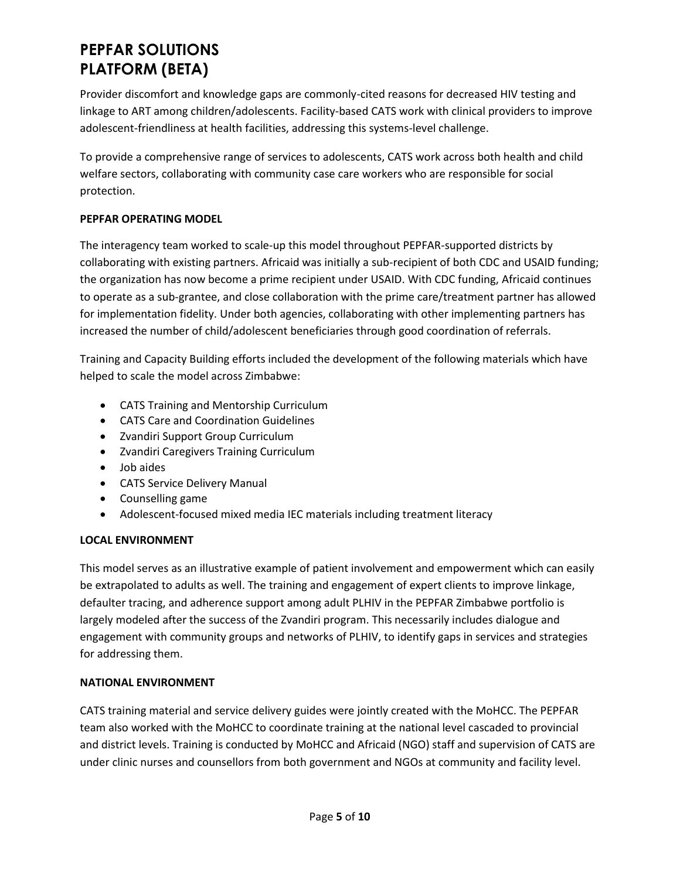Provider discomfort and knowledge gaps are commonly-cited reasons for decreased HIV testing and linkage to ART among children/adolescents. Facility-based CATS work with clinical providers to improve adolescent-friendliness at health facilities, addressing this systems-level challenge.

To provide a comprehensive range of services to adolescents, CATS work across both health and child welfare sectors, collaborating with community case care workers who are responsible for social protection.

#### **PEPFAR OPERATING MODEL**

The interagency team worked to scale-up this model throughout PEPFAR-supported districts by collaborating with existing partners. Africaid was initially a sub-recipient of both CDC and USAID funding; the organization has now become a prime recipient under USAID. With CDC funding, Africaid continues to operate as a sub-grantee, and close collaboration with the prime care/treatment partner has allowed for implementation fidelity. Under both agencies, collaborating with other implementing partners has increased the number of child/adolescent beneficiaries through good coordination of referrals.

Training and Capacity Building efforts included the development of the following materials which have helped to scale the model across Zimbabwe:

- CATS Training and Mentorship Curriculum
- CATS Care and Coordination Guidelines
- Zvandiri Support Group Curriculum
- Zvandiri Caregivers Training Curriculum
- Job aides
- CATS Service Delivery Manual
- Counselling game
- Adolescent-focused mixed media IEC materials including treatment literacy

#### **LOCAL ENVIRONMENT**

This model serves as an illustrative example of patient involvement and empowerment which can easily be extrapolated to adults as well. The training and engagement of expert clients to improve linkage, defaulter tracing, and adherence support among adult PLHIV in the PEPFAR Zimbabwe portfolio is largely modeled after the success of the Zvandiri program. This necessarily includes dialogue and engagement with community groups and networks of PLHIV, to identify gaps in services and strategies for addressing them.

#### **NATIONAL ENVIRONMENT**

CATS training material and service delivery guides were jointly created with the MoHCC. The PEPFAR team also worked with the MoHCC to coordinate training at the national level cascaded to provincial and district levels. Training is conducted by MoHCC and Africaid (NGO) staff and supervision of CATS are under clinic nurses and counsellors from both government and NGOs at community and facility level.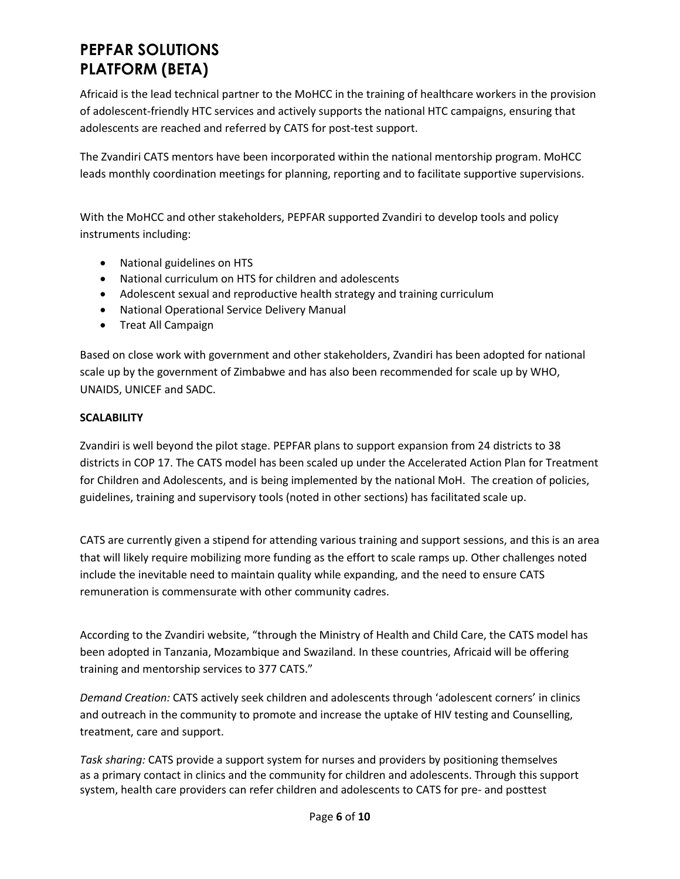Africaid is the lead technical partner to the MoHCC in the training of healthcare workers in the provision of adolescent-friendly HTC services and actively supports the national HTC campaigns, ensuring that adolescents are reached and referred by CATS for post-test support.

The Zvandiri CATS mentors have been incorporated within the national mentorship program. MoHCC leads monthly coordination meetings for planning, reporting and to facilitate supportive supervisions.

With the MoHCC and other stakeholders, PEPFAR supported Zvandiri to develop tools and policy instruments including:

- National guidelines on HTS
- National curriculum on HTS for children and adolescents
- Adolescent sexual and reproductive health strategy and training curriculum
- National Operational Service Delivery Manual
- Treat All Campaign

Based on close work with government and other stakeholders, Zvandiri has been adopted for national scale up by the government of Zimbabwe and has also been recommended for scale up by WHO, UNAIDS, UNICEF and SADC.

#### **SCALABILITY**

Zvandiri is well beyond the pilot stage. PEPFAR plans to support expansion from 24 districts to 38 districts in COP 17. The CATS model has been scaled up under the Accelerated Action Plan for Treatment for Children and Adolescents, and is being implemented by the national MoH. The creation of policies, guidelines, training and supervisory tools (noted in other sections) has facilitated scale up.

CATS are currently given a stipend for attending various training and support sessions, and this is an area that will likely require mobilizing more funding as the effort to scale ramps up. Other challenges noted include the inevitable need to maintain quality while expanding, and the need to ensure CATS remuneration is commensurate with other community cadres.

According to the Zvandiri website, "through the Ministry of Health and Child Care, the CATS model has been adopted in Tanzania, Mozambique and Swaziland. In these countries, Africaid will be offering training and mentorship services to 377 CATS."

*Demand Creation:* CATS actively seek children and adolescents through 'adolescent corners' in clinics and outreach in the community to promote and increase the uptake of HIV testing and Counselling, treatment, care and support.

*Task sharing:* CATS provide a support system for nurses and providers by positioning themselves as a primary contact in clinics and the community for children and adolescents. Through this support system, health care providers can refer children and adolescents to CATS for pre- and posttest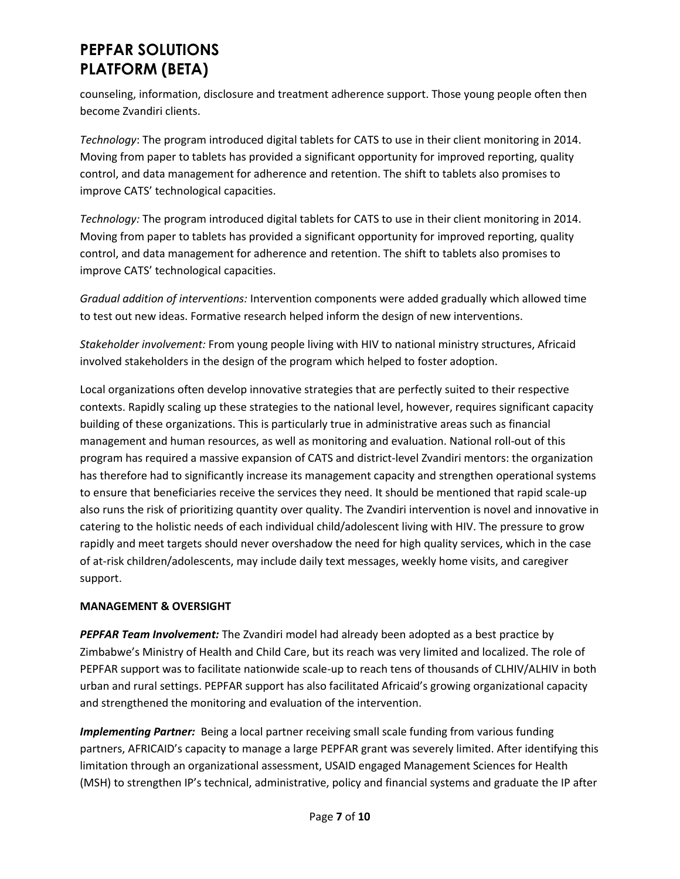counseling, information, disclosure and treatment adherence support. Those young people often then become Zvandiri clients.

*Technology*: The program introduced digital tablets for CATS to use in their client monitoring in 2014. Moving from paper to tablets has provided a significant opportunity for improved reporting, quality control, and data management for adherence and retention. The shift to tablets also promises to improve CATS' technological capacities.

*Technology:* The program introduced digital tablets for CATS to use in their client monitoring in 2014. Moving from paper to tablets has provided a significant opportunity for improved reporting, quality control, and data management for adherence and retention. The shift to tablets also promises to improve CATS' technological capacities.

*Gradual addition of interventions:* Intervention components were added gradually which allowed time to test out new ideas. Formative research helped inform the design of new interventions.

*Stakeholder involvement:* From young people living with HIV to national ministry structures, Africaid involved stakeholders in the design of the program which helped to foster adoption.

Local organizations often develop innovative strategies that are perfectly suited to their respective contexts. Rapidly scaling up these strategies to the national level, however, requires significant capacity building of these organizations. This is particularly true in administrative areas such as financial management and human resources, as well as monitoring and evaluation. National roll-out of this program has required a massive expansion of CATS and district-level Zvandiri mentors: the organization has therefore had to significantly increase its management capacity and strengthen operational systems to ensure that beneficiaries receive the services they need. It should be mentioned that rapid scale-up also runs the risk of prioritizing quantity over quality. The Zvandiri intervention is novel and innovative in catering to the holistic needs of each individual child/adolescent living with HIV. The pressure to grow rapidly and meet targets should never overshadow the need for high quality services, which in the case of at-risk children/adolescents, may include daily text messages, weekly home visits, and caregiver support.

#### **MANAGEMENT & OVERSIGHT**

*PEPFAR Team Involvement:* The Zvandiri model had already been adopted as a best practice by Zimbabwe's Ministry of Health and Child Care, but its reach was very limited and localized. The role of PEPFAR support was to facilitate nationwide scale-up to reach tens of thousands of CLHIV/ALHIV in both urban and rural settings. PEPFAR support has also facilitated Africaid's growing organizational capacity and strengthened the monitoring and evaluation of the intervention.

*Implementing Partner:* Being a local partner receiving small scale funding from various funding partners, AFRICAID's capacity to manage a large PEPFAR grant was severely limited. After identifying this limitation through an organizational assessment, USAID engaged Management Sciences for Health (MSH) to strengthen IP's technical, administrative, policy and financial systems and graduate the IP after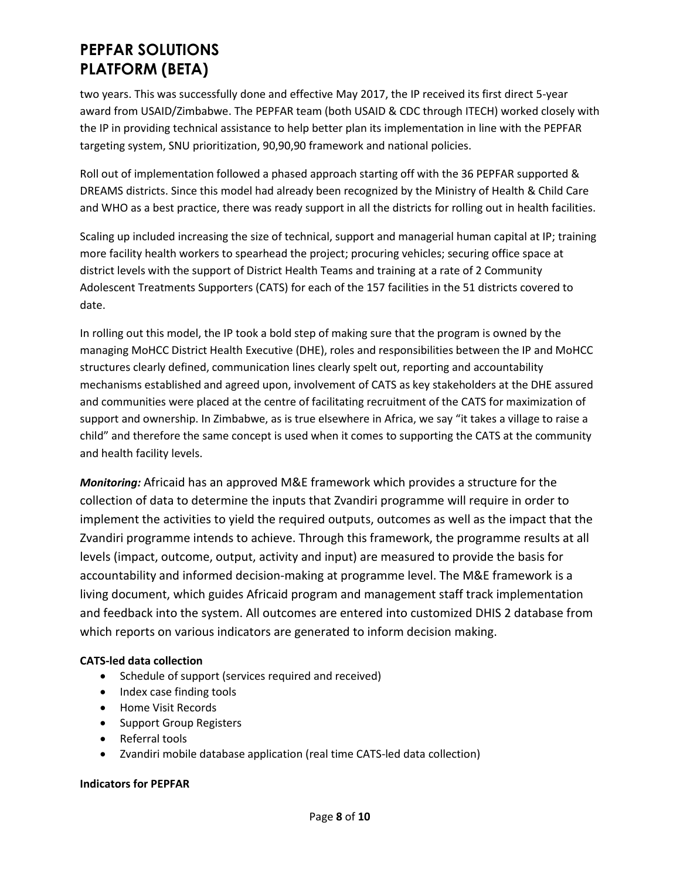two years. This was successfully done and effective May 2017, the IP received its first direct 5-year award from USAID/Zimbabwe. The PEPFAR team (both USAID & CDC through ITECH) worked closely with the IP in providing technical assistance to help better plan its implementation in line with the PEPFAR targeting system, SNU prioritization, 90,90,90 framework and national policies.

Roll out of implementation followed a phased approach starting off with the 36 PEPFAR supported & DREAMS districts. Since this model had already been recognized by the Ministry of Health & Child Care and WHO as a best practice, there was ready support in all the districts for rolling out in health facilities.

Scaling up included increasing the size of technical, support and managerial human capital at IP; training more facility health workers to spearhead the project; procuring vehicles; securing office space at district levels with the support of District Health Teams and training at a rate of 2 Community Adolescent Treatments Supporters (CATS) for each of the 157 facilities in the 51 districts covered to date.

In rolling out this model, the IP took a bold step of making sure that the program is owned by the managing MoHCC District Health Executive (DHE), roles and responsibilities between the IP and MoHCC structures clearly defined, communication lines clearly spelt out, reporting and accountability mechanisms established and agreed upon, involvement of CATS as key stakeholders at the DHE assured and communities were placed at the centre of facilitating recruitment of the CATS for maximization of support and ownership. In Zimbabwe, as is true elsewhere in Africa, we say "it takes a village to raise a child" and therefore the same concept is used when it comes to supporting the CATS at the community and health facility levels.

*Monitoring:* Africaid has an approved M&E framework which provides a structure for the collection of data to determine the inputs that Zvandiri programme will require in order to implement the activities to yield the required outputs, outcomes as well as the impact that the Zvandiri programme intends to achieve. Through this framework, the programme results at all levels (impact, outcome, output, activity and input) are measured to provide the basis for accountability and informed decision-making at programme level. The M&E framework is a living document, which guides Africaid program and management staff track implementation and feedback into the system. All outcomes are entered into customized DHIS 2 database from which reports on various indicators are generated to inform decision making.

#### **CATS-led data collection**

- Schedule of support (services required and received)
- Index case finding tools
- Home Visit Records
- Support Group Registers
- Referral tools
- Zvandiri mobile database application (real time CATS-led data collection)

#### **Indicators for PEPFAR**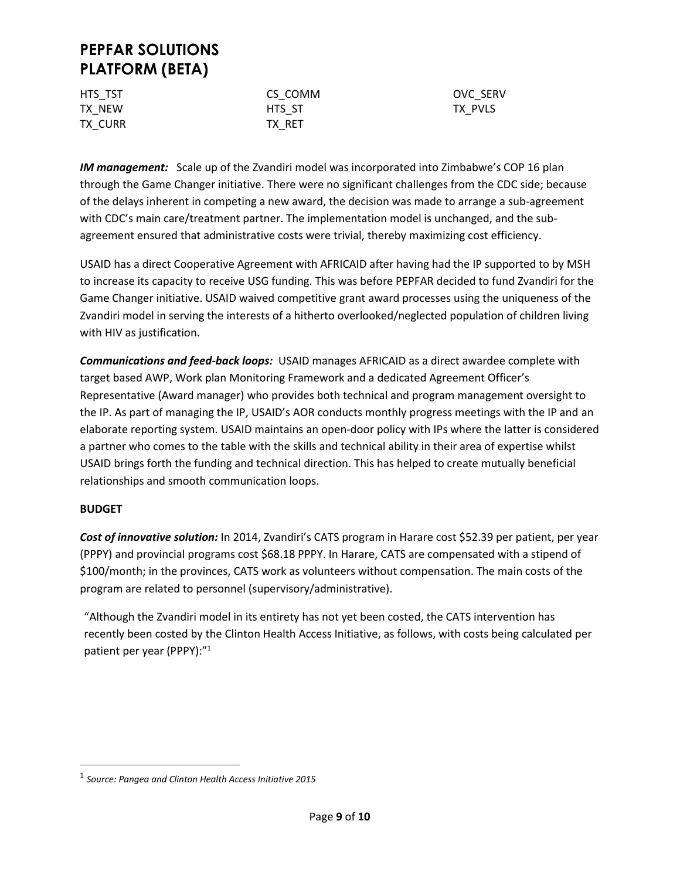| HTS TST | CS COMM | <b>OVC SERV</b> |
|---------|---------|-----------------|
| TX NEW  | HTS ST  | TX PVLS         |
| TX CURR | TX RET  |                 |

*IM management:* Scale up of the Zvandiri model was incorporated into Zimbabwe's COP 16 plan through the Game Changer initiative. There were no significant challenges from the CDC side; because of the delays inherent in competing a new award, the decision was made to arrange a sub-agreement with CDC's main care/treatment partner. The implementation model is unchanged, and the subagreement ensured that administrative costs were trivial, thereby maximizing cost efficiency.

USAID has a direct Cooperative Agreement with AFRICAID after having had the IP supported to by MSH to increase its capacity to receive USG funding. This was before PEPFAR decided to fund Zvandiri for the Game Changer initiative. USAID waived competitive grant award processes using the uniqueness of the Zvandiri model in serving the interests of a hitherto overlooked/neglected population of children living with HIV as justification.

*Communications and feed-back loops:* USAID manages AFRICAID as a direct awardee complete with target based AWP, Work plan Monitoring Framework and a dedicated Agreement Officer's Representative (Award manager) who provides both technical and program management oversight to the IP. As part of managing the IP, USAID's AOR conducts monthly progress meetings with the IP and an elaborate reporting system. USAID maintains an open-door policy with IPs where the latter is considered a partner who comes to the table with the skills and technical ability in their area of expertise whilst USAID brings forth the funding and technical direction. This has helped to create mutually beneficial relationships and smooth communication loops.

#### **BUDGET**

 $\overline{\phantom{a}}$ 

*Cost of innovative solution:* In 2014, Zvandiri's CATS program in Harare cost \$52.39 per patient, per year (PPPY) and provincial programs cost \$68.18 PPPY. In Harare, CATS are compensated with a stipend of \$100/month; in the provinces, CATS work as volunteers without compensation. The main costs of the program are related to personnel (supervisory/administrative).

"Although the Zvandiri model in its entirety has not yet been costed, the CATS intervention has recently been costed by the Clinton Health Access Initiative, as follows, with costs being calculated per patient per year (PPPY):"<sup>1</sup>

<sup>1</sup> *Source: Pangea and Clinton Health Access Initiative 2015*